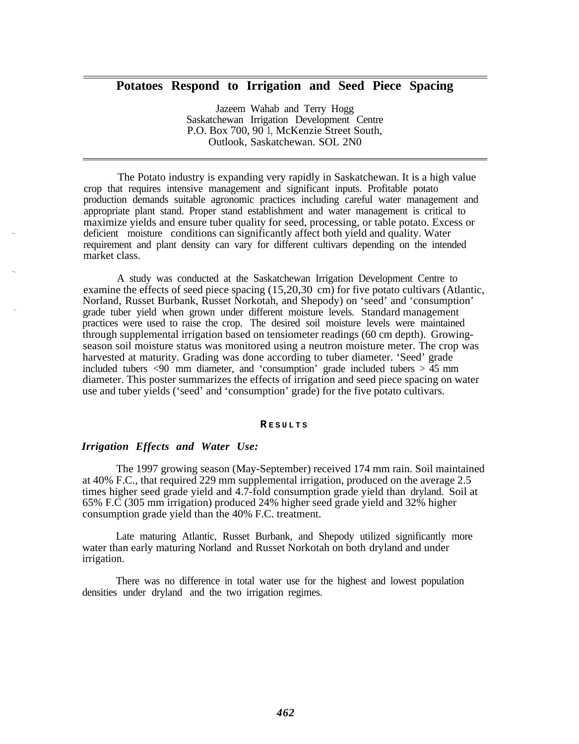# **Potatoes Respond to Irrigation and Seed Piece Spacing**

Jazeem Wahab and Terry Hogg Saskatchewan Irrigation Development Centre P.O. Box 700, 90 1, McKenzie Street South, Outlook, Saskatchewan. SOL 2N0

The Potato industry is expanding very rapidly in Saskatchewan. It is a high value crop that requires intensive management and significant inputs. Profitable potato production demands suitable agronomic practices including careful water management and appropriate plant stand. Proper stand establishment and water management is critical to maximize yields and ensure tuber quality for seed, processing, or table potato. Excess or deficient moisture conditions can significantly affect both yield and quality. Water requirement and plant density can vary for different cultivars depending on the intended market class.

A study was conducted at the Saskatchewan Irrigation Development Centre to examine the effects of seed piece spacing (15,20,30 cm) for five potato cultivars (Atlantic, Norland, Russet Burbank, Russet Norkotah, and Shepody) on 'seed' and 'consumption' grade tuber yield when grown under different moisture levels. Standard management practices were used to raise the crop. The desired soil moisture levels were maintained through supplemental irrigation based on tensiometer readings (60 cm depth). Growingseason soil moisture status was monitored using a neutron moisture meter. The crop was harvested at maturity. Grading was done according to tuber diameter. 'Seed' grade included tubers  $\langle 90 \rangle$  mm diameter, and 'consumption' grade included tubers  $> 45$  mm diameter. This poster summarizes the effects of irrigation and seed piece spacing on water use and tuber yields ('seed' and 'consumption' grade) for the five potato cultivars.

#### **R ESULTS**

### *Irrigation Effects and Water Use:*

The 1997 growing season (May-September) received 174 mm rain. Soil maintained at 40% F.C., that required 229 mm supplemental irrigation, produced on the average 2.5 times higher seed grade yield and 4.7-fold consumption grade yield than dryland. Soil at 65% F.C (305 mm irrigation) produced 24% higher seed grade yield and 32% higher consumption grade yield than the 40% F.C. treatment.

Late maturing Atlantic, Russet Burbank, and Shepody utilized significantly more water than early maturing Norland and Russet Norkotah on both dryland and under irrigation.

There was no difference in total water use for the highest and lowest population densities under dryland and the two irrigation regimes.